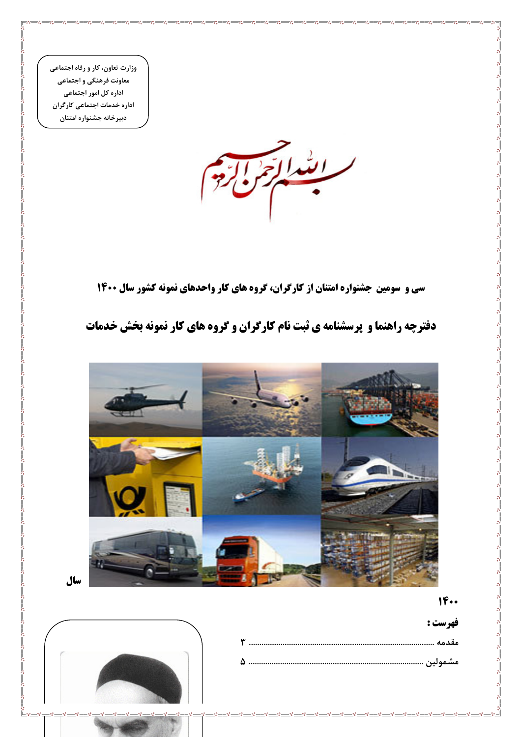



## دفترچه راهنما و پرسشنامه ی ثبت نام کارگران و گروه های کار نمونه بخش خدمات

سی و سومین جشنواره امتنان از کارگران، گروه های کار واحدهای نمونه کشور سال ۱۴۰۰

ابتدائق

وزارت تعاون، کار و رفاه اجتماعی معاونت فرهنگی و اجتماعی اداره کل امور اجتماعی اداره خدمات اجتماعی کارگران دبيرخانه جشنواره امتنان

سال

 $-80 - 80$ 

 $1F \cdot \cdot$ 

فهرست :

مقدمه ....................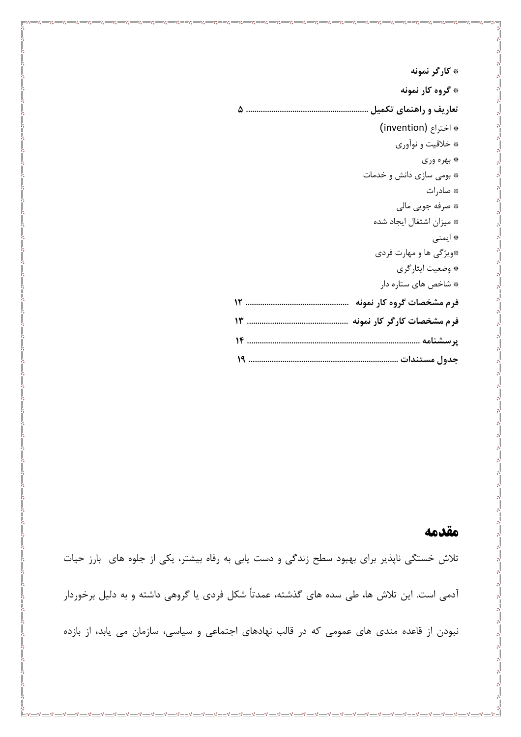### \* کارگر نمونه \* گروه کار نمونه \* اختراع (invention) \* خلاقيت و نوآوري ۽ بهره وري \* بومی سازی دانش و خدمات \* صاد, ات \* صرفه جويي مالي \* ميزان اشتغال ايجاد شده \* ایمنی \*ویژگی ها و مهارت فردی \* وضعيت ايثاركري \* شاخص های ستاره دار فرم مشخصات گروه کار نمونه سیسیسیسیسیسیسیسیسیسیسی ۱۲

#### مقدمه

تلاش خستگی ناپذیر برای بهبود سطح زندگی و دست یابی به رفاه بیشتر، یکی از جلوه های بارز حیات آدمی است. این تلاش ها، طی سده های گذشته، عمدتاً شکل فردی یا گروهی داشته و به دلیل برخوردار نبودن از قاعده مندی های عمومی که در قالب نهادهای اجتماعی و سیاسی، سازمان می یابد، از بازده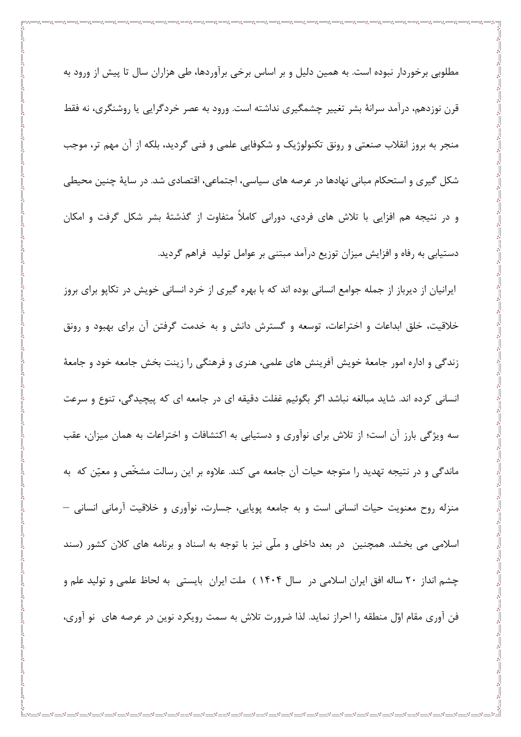مطلوبی برخوردار نبوده است. به همین دلیل و بر اساس برخی برآوردها، طی هزاران سال تا پیش از ورود به قرن نوزدهم، درآمد سرانهٔ بشر تغییر چشمگیری نداشته است. ورود به عصر خردگرایی یا روشنگری، نه فقط منجر به بروز انقلاب صنعتی و رونق تکنولوژیک و شکوفایی علمی و فنی گردید، بلکه از آن مهم تر، موجب شکل گیری و استحکام مبانی نهادها در عرصه های سیاسی، اجتماعی، اقتصادی شد. در سایهٔ چنین محیطی و در نتیجه هم افزایی با تلاش های فردی، دورانی کاملاً متفاوت از گذشتهٔ بشر شکل گرفت و امکان دستیابی به رفاه و افزایش میزان توزیع درآمد مبتنی بر عوامل تولید فراهم گردید. ایرانیان از دیرباز از جمله جوامع انسانی بوده اند که با بهره گیری از خرد انسانی خویش در تکاپو برای بروز

خلاقیت، خلق ابداعات و اختراعات، توسعه و گسترش دانش و به خدمت گرفتن آن برای بهبود و رونق زندگی و اداره امور جامعهٔ خویش آفرینش های علمی، هنری و فرهنگی را زینت بخش جامعه خود و جامعهٔ انسانی کرده اند. شاید مبالغه نباشد اگر بگوئیم غفلت دقیقه ای در جامعه ای که پیچیدگی، تنوع و سرعت سه ویژگی بارز آن است؛ از تلاش برای نوآوری و دستیابی به اکتشافات و اختراعات به همان میزان، عقب ماندگی و در نتیجه تهدید را متوجه حیات آن جامعه می کند. علاوه بر این رسالت مشخّص و معیّن که به منزله روح معنویت حیات انسانی است و به جامعه پویایی، جسارت، نوآوری و خلاقیت آرمانی انسانی – اسلامی می بخشد. همچنین در بعد داخلی و ملّی نیز با توجه به اسناد و برنامه های کلان کشور (سند چشم انداز ۲۰ ساله افق ایران اسلامی در سال ۱۴۰۴ ) ملت ایران بایستی به لحاظ علمی و تولید علم و فن آوری مقام اوّل منطقه را احراز نماید. لذا ضرورت تلاش به سمت رویکرد نوین در عرصه های نو آوری،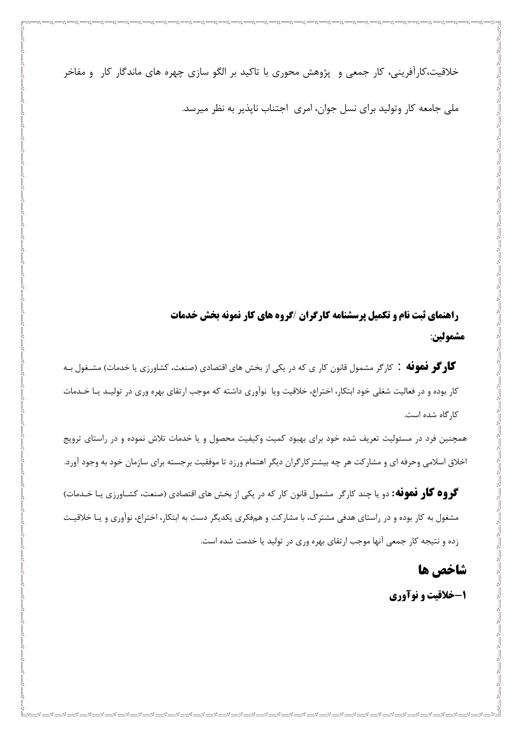خلاقیت،کارآفرینی، کار جمعی و پژوهش محوری با تاکید بر الگو سازی چهره های ماندگار کار و مفاخر

ملی جامعه کار وتولید برای نسل جوان، امری اجتناب ناپذیر به نظر میرسد.

راهنمای ثبت نام و تکمیل پرسشنامه کارگران /گروه های کار نمونه بخش خدمات مشمولين:

گار گر فهوفه : کارگر مشمول قانون کار ی که در یکی از بخش های اقتصادی (صنعت، کشاورزی یا خدمات) مشــغول بــه کار بوده و در فعالیت شغلی خود ابتکار، اختراع، خلاقیت ویا نوآوری داشته که موجب ارتقای بهره وری در تولیـد یـا خـدمات كار گاه شده است.

همچنین فرد در مسئولیت تعریف شده خود برای بهبود کمیت وکیفیت محصول و یا خدمات تلاش نموده و در راستای ترویج اخلاق اسلامی وحرفه ای و مشارکت هر چه بیشترکارگران دیگر اهتمام ورزد تا موفقیت برجسته برای سازمان خود به وجود آورد.

گروه گار فموفه: دو یا چند کارگر مشمول قانون کار که در یکی از بخش های اقتصادی (صنعت، کشـاورزی یـا خـدمات) مشغول به کار بوده و در راستای هدفی مشترک، با مشارکت و همفکری یکدیگر دست به ابتکار، اختراع، نوآوری و یـا خلاقیـت زده و نتیجه کار جمعی آنها موجب ارتقای بهره وری در تولید یا خدمت شده است.

شاخص ها

۱-خلاقیت و نوآوری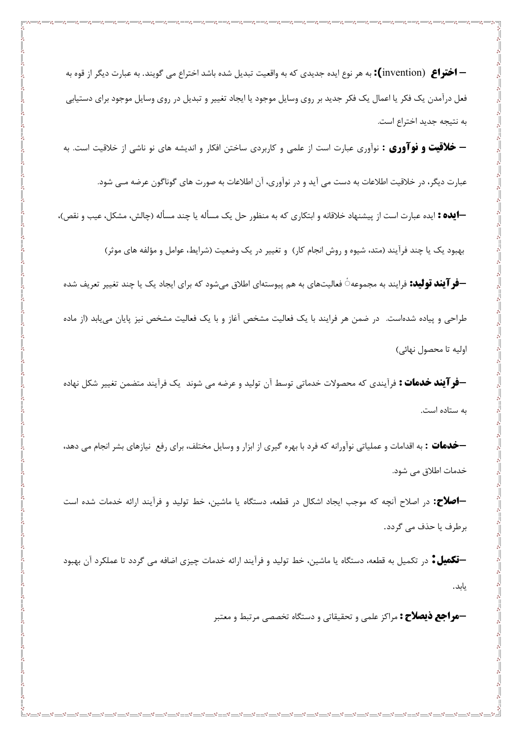**— اختراع** (invention**):** به هر نوع ایده جدیدی که به واقعیت تبدیل شده باشد اختراع می گویند. به عبارت دیگر از قوه به فعل درآمدن یک فکر یا اعمال یک فکر جدید بر روی وسایل موجود یا ایجاد تغییر و تبدیل در روی وسایل موجود برای دستیابی به نتيجه جديد اختراع است.

-3 -3 -3 -3 -3

**– خلاقیت و نوآوری :** نوآوری عبارت است از علمی و کاربردی ساختن افکار و اندیشه های نو ناشی از خلاقیت است. به

عبارت دیگر، در خلاقیت اطلاعات به دست می آید و در نوآوری، آن اطلاعات به صورت های گوناگون عرضه مـی شود.

**—ایده :** ایده عبارت است از پیشنهاد خلاقانه و ابتکاری که به منظور حل یک مسأله یا چند مسأله (چالش، مشکل، عیب و نقص)،

بهبود یک یا چند فرآیند (متد، شیوه و روش انجام کار) و تغییر در یک وضعیت (شرایط، عوامل و مؤلفه های موثر)

**–فر آیند تولید:** فرایند به مجموعه $\circ$  فعالیتهای به هم پیوستهای اطلاق میشود که برای ایجاد یک یا چند تغییر تعریف شده طراحی و پیاده شدهاست. در ضمن هر فرایند با یک فعالیت مشخص آغاز و با یک فعالیت مشخص نیز پایان می یابد (از ماده اوليه تا محصول نهائي)

**–فر آیند خدمات :** فرآیندی که محصولات خدماتی توسط آن تولید و عرضه می شوند یک فرآیند متضمن تغییر شکل نهاده به ستاده است.

**—خدمات :** به اقدامات و عملیاتی نوآورانه که فرد با بهره گیری از ابزار و وسایل مختلف، برای رفع نیازهای بشر انجام می دهد، خدمات اطلاق می شود.

**-اصلاح:** در اصلاح آنچه که موجب ایجاد اشکال در قطعه، دستگاه یا ماشین، خط تولید و فرآیند ارائه خدمات شده است برطرف يا حذف مي گردد.

**–تکمیل ٔ** در تکمیل به قطعه، دستگاه یا ماشین، خط تولید و فرآیند ارائه خدمات چیزی اضافه می گردد تا عملکرد آن بهبود يابد.

**-هواجع ذیصلاح :** مراکز علمی و تحقیقاتی و دستگاه تخصصی مرتبط و معتبر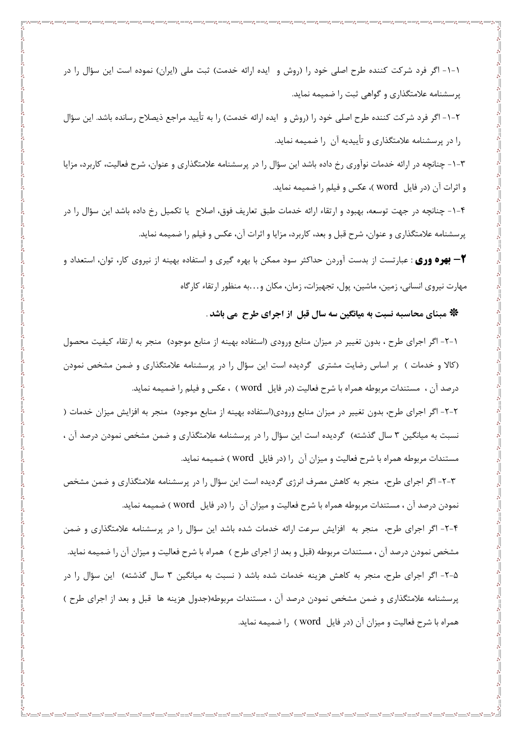۱-۱- اگر فرد شرکت کننده طرح اصلی خود را (روش و آیده ارائه خدمت) ثبت ملی (ایران) نموده است این سؤال را در پرسشنامه علامتگذاری و گواهی ثبت را ضمیمه نماید.

٢-١- اگر فرد شركت كننده طرح اصلي خود را (روش و ايده ارائه خدمت) را به تأييد مراجع ذيصلاح رسانده باشد. اين سؤال را در پرسشنامه علامتگذاری و تأییدیه آن را ضمیمه نماید.

۳-۱- چنانچه در ارائه خدمات نوآوری رخ داده باشد این سؤال را در پرسشنامه علامتگذاری و عنوان، شرح فعالیت، کاربرد، مزایا و اثرات آن (در فایل \_word )، عکس و فیلم را ضمیمه نماید.

۴–۱– چنانچه در جهت توسعه، بهبود و ارتقاء ارائه خدمات طبق تعاريف فوق، اصلاح يا تكميل رخ داده باشد اين سؤال را در پرسشنامه علامتگذاری و عنوان، شرح قبل و بعد، کاربرد، مزایا و اثرات آن، عکس و فیلم را ضمیمه نماید.

**۳– بهره وری** : عبارتست از بدست آوردن حداکثر سود ممکن با بهره گیری و استفاده بهینه از نیروی کار، توان، استعداد و مهارت نیروی انسانی، زمین، ماشین، پول، تجهیزات، زمان، مکان و…به منظور ارتقاء کارگاه

#### \* مبنای محاسبه نسبت به میانگین سه سال قبل از اجرای طرح ًمی باشد .

١-٢- اگر اجراي طرح ، بدون تغيير در ميزان منابع ورودي (استفاده بهينه از منابع موجود) منجر به ارتقاء كيفيت محصول (کالا و خدمات ) بر اساس رضایت مشتری گردیده است این سؤال را در پرسشنامه علامتگذاری و ضمن مشخص نمودن درصد آن ، مستندات مربوطه همراه با شرح فعالیت (در فایل word ) ، عکس و فیلم را ضمیمه نماید.

۲-۲- اگر اجرای طرح، بدون تغییر در میزان منابع ورودی(استفاده بهینه از منابع موجود) منجر به افزایش میزان خدمات ( نسبت به میانگین ۳ سال گذشته) گردیده است این سؤال را در پرسشنامه علامتگذاری و ضمن مشخص نمودن درصد آن ، مستندات مربوطه همراه با شرح فعالیت و میزان آن را (در فایل word) ضمیمه نماید.

۳-۲- اگر اجرای طرح، ًمنجر به کاهش مصرف انرژی گردیده است این سؤال را در پرسشنامه علامتگذاری و ضمن مشخص نمودن درصد آن ، مستندات مربوطه همراه با شرح فعالیت و میزان آن ۱٫ (در فایل word) ضمیمه نماید.

۴-۲- اگر اجرای طرح، منجر به افزایش سرعت ارائه خدمات شده باشد این سؤال را در پرسشنامه علامتگذاری و ضمن مشخص نمودن درصد آن ، مستندات مربوطه (قبل و بعد از اجراي طرح ) همراه با شرح فعاليت و ميزان آن را ضميمه نمايد. ۵-۲- اگر اجرای طرح، منجر به کاهش هزینه خدمات شده باشد ( نسبت به میانگین ۳ سال گذشته) آین سؤال را در پرسشنامه علامتگذاری و ضمن مشخص نمودن درصد آن ، مستندات مربوطه(جدول هزینه ها قبل و بعد از اجرای طرح ) همراه با شرح فعالیت و میزان آن (در فایل word ) را ضمیمه نماید.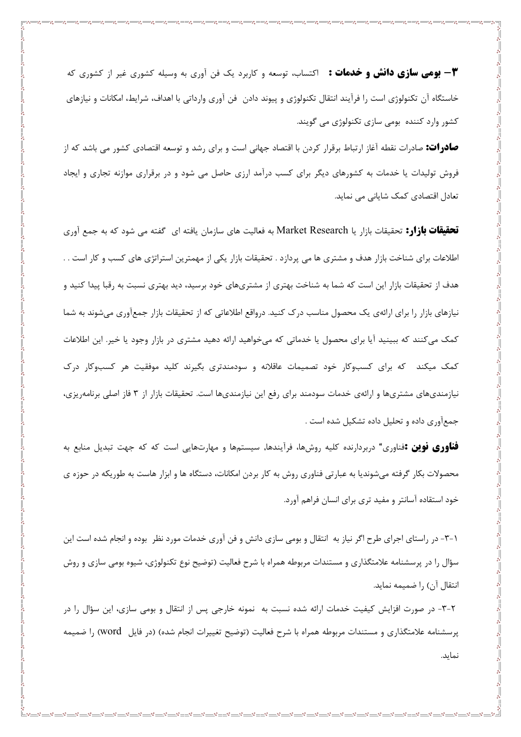**۳- بومی سازی دانش و خدمات :** اکتساب، توسعه و کاربرد یک فن آوری به وسیله کشوری غیر از کشوری که خاستگاه آن تکنولوژی است را فرآیند انتقال تکنولوژی و پیوند دادن فن آوری وارداتی با اهداف، شرایط، امکانات و نیازهای کشور وارد کننده بومی سازی تکنولوژی می گویند.

 $-8 - 8 - 8 - 8$ 

**صادرات:** صادرات نقطه آغاز ارتباط برقرار کردن با اقتصاد جهانی است و برای رشد و توسعه اقتصادی کشور می باشد که از فروش تولیدات یا خدمات به کشورهای دیگر برای کسب درآمد ارزی حاصل می شود و در برقراری موازنه تجاری و ایجاد تعادل اقتصادی کمک شایانی می نماید.

قحقیقات بازار: تحقیقات بازار یا Market Research به فعالیت های سازمان یافته ای گفته می شود که به جمع آوری اطلاعات برای شناخت بازار هدف و مشتری ها می پردازد . تحقیقات بازار یکی از مهمترین استراتژی های کسب و کار است . . هدف از تحقیقات بازار این است که شما به شناخت بهتری از مشتریهای خود برسید، دید بهتری نسبت به رقبا پیدا کنید و نیازهای بازار را برای ارائهی یک محصول مناسب درک کنید. درواقع اطلاعاتی که از تحقیقات بازار جمعآوری میشوند به شما کمک می کنند که ببینید آیا برای محصول یا خدماتی که می خواهید ارائه دهید مشتری در بازار وجود یا خیر. این اطلاعات کمک میکند که برای کسبوکار خود تصمیمات عاقلانه و سودمندتری بگیرند کلید موفقیت هر کسبوکار درک نیازمندیهای مشتریها و ارائهی خدمات سودمند برای رفع این نیازمندیها است. تحقیقات بازار از ۳ فاز اصلی برنامهریزی، جمع آوری داده و تحلیل داده تشکیل شده است .

**فناوری نوین :**فناوری" دربردارنده کلیه روشها، فرآیندها, سیستمها و مهارتهایی است که که جهت تبدیل منابع به محصولات بکار گرفته میشوندیا به عبارتی فناوری روش به کار بردن امکانات، دستگاه ها و ابزار هاست به طوریکه در حوزه ی خود استقاده آسانتر و مفید تری برای انسان فراهم آورد.

۰۱–۳- در راستای اجرای طرح اگر نیاز به انتقال و بومی سازی دانش و فن آوری خدمات مورد نظر ۖ بوده و انجام شده است این سؤال را در پرسشنامه علامتگذاری و مستندات مربوطه همراه با شرح فعالیت (توضیح نوع تکنولوژی، شیوه بومی سازی و روش انتقال آن) ,ا ضمیمه نماید.

۲–۳- در صورت افزایش کیفیت خدمات ارائه شده نسبت به نمونه خارجی پس از انتقال و بومی سازی، این سؤال را در پرسشنامه علامتگذاری و مستندات مربوطه همراه با شرح فعالیت (توضیح تغییرات انجام شده) (در فایل word) را ضمیمه نمايد.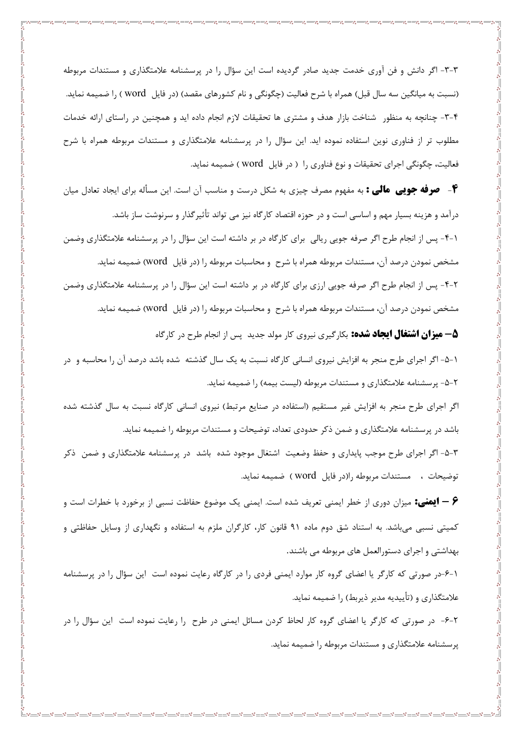۳-۳- اگر دانش و فن آوری خدمت جدید صادر گردیده است این سؤال را در پرسشنامه علامتگذاری و مستندات مربوطه (نسبت به میانگین سه سال قبل) همراه با شرح فعالیت (چگونگی و نام کشورهای مقصد) (در فایل word ) را ضمیمه نماید. ۴-۳- چنانچه به منظور شناخت بازار هدف و مشتری ها تحقیقات لازم انجام داده اید و همچنین در راستای ارائه خدمات مطلوب تر از فناوری نوین استفاده نموده اید. این سؤال را در پرسشنامه علامتگذاری و مستندات مربوطه همراه با شرح فعالیت، چگونگی اجرای تحقیقات و نوع فناوری را ( در فایل word) ضمیمه نماید.

**۴**- صوفه جویی مالی : به مفهوم مصرف چیزی به شکل درست و مناسب آن است. این مسأله برای ایجاد تعادل میان درآمد و هزینه بسیار مهم و اساسی است و در حوزه اقتصاد کارگاه نیز می تواند تأثیرگذار و سرنوشت ساز باشد. ۰-۲- پس از انجام طرح اگر صرفه جویی ریالی برای کارگاه در بر داشته است این سؤال را در پرسشنامه علامتگذاری وضمن مشخص نمودن درصد آن، مستندات مربوطه همراه با شرح و محاسبات مربوطه را (در فایل word) ضمیمه نماید. ۲-۴- پس از انجام طرح اگر صرفه جویی ارزی برای کارگاه در بر داشته است این سؤال را در پرسشنامه علامتگذاری وضمن مشخص نمودن درصد آن، مستندات مربوطه همراه با شرح و محاسبات مربوطه را (در فایل word) ضمیمه نماید.

**۵– هیزان اشتغال ایجاد شده:** بکارگیری نیروی کار مولد جدید پس از انجام طرح در کارگاه

١-۵- اگر اجراي طرح منجر به افزايش نيروي انساني كارگاه نسبت به يک سال گذشته شده باشد درصد آن را محاسبه و در ۲-۵- پرسشنامه علامتگذاری و مستندات مربوطه (لیست بیمه) را ضمیمه نماید.

اگر اجرای طرح منجر به افزایش غیر مستقیم (استفاده در صنایع مرتبط) نیروی انسانی کارگاه نسبت به سال گذشته شده باشد در پرسشنامه علامتگذاری و ضمن ذکر حدودی تعداد، توضیحات و مستندات مربوطه را ضمیمه نماید.

۵-۳- اگر اجرای طرح موجب پایداری و حفظ وضعیت اشتغال موجود شده باشد در پرسشنامه علامتگذاری و ضمن ذکر توضيحات ، مستندات مربوطه را(در فايل word ) ضميمه نمايد.

۶ – **ایمنی:** میزان دوری از خطر ایمنی تعریف شده است. ایمنی یک موضوع حفاظت نسبی از برخورد با خطرات است و کمیتی نسبی میباشد. به استناد شق دوم ماده ۹۱ قانون کار، کارگران ملزم به استفاده و نگهداری از وسایل حفاظتی و بهداشتی و اجرای دستورالعمل های مربوطه می باشند.

۱-۶-در صورتی که کارگر یا اعضای گروه کار موارد ایمنی فردی را در کارگاه رعایت نموده است این سؤال را در پرسشنامه علامتگذاری و (تأييديه مدير ذيربط) را ضميمه نمايد.

٢-۶- در صورتي كه كارگر يا اعضاي گروه كار لحاظ كردن مسائل ايمني در طرح را رعايت نموده است اين سؤال را در پرسشنامه علامتگذاری و مستندات مربوطه را ضمیمه نماید.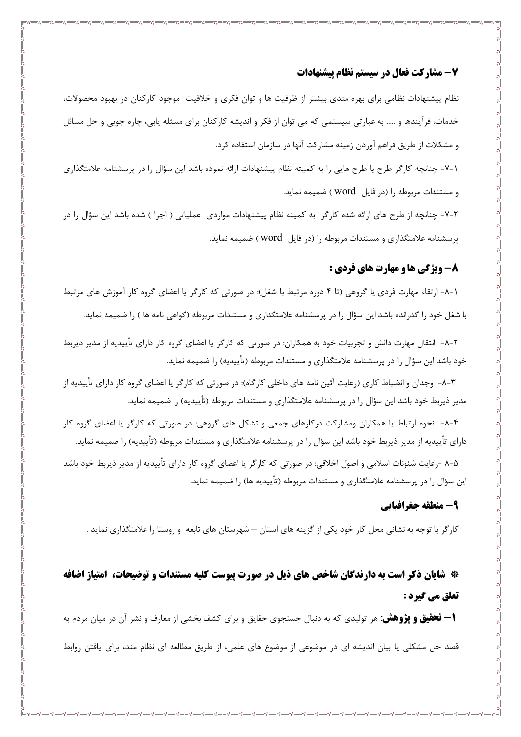#### 7- مشاركت فعال در سيستم نظام پيشنهادات

نظام پیشنهادات نظامی برای بهره مندی بیشتر از ظرفیت ها و توان فکری و خلاقیت موجود کارکنان در بهبود محصولات، خدمات، فرآیندها و ….. به عبارتی سیستمی که می توان از فکر و اندیشه کارکنان برای مسئله پابی، چاره جویی و حل مسائل و مشكلات از طريق فراهم آوردن زمينه مشاركت آنها در سازمان استفاده كرد.

۱-۷- چنانچه کارگر طرح یا طرح هایی را به کمیته نظام پیشنهادات ارائه نموده باشد این سؤال را در پرسشنامه علامتگذاری و مستندات مربوطه ,ا (در فایل word ) ضمیمه نماید.

۲-۷- چنانچه از طرح های ارائه شده کارگر به کمینه نظام پیشنهادات مواردی عملیاتی ( اجرا ) شده باشد این سؤال را در پرسشنامه علامتگذاری و مستندات مربوطه را (در فایل Word) ضمیمه نماید.

#### **8- ویژگی ها و مهارت های فردی :**

۱–۸– ارتقاء مهارت فردی یا گروهی (تا ۴ دوره مرتبط با شغل): در صورتی که کارگر یا اعضای گروه کار آموزش های مرتبط با شغل خود را گذرانده باشد این سؤال را در پرسشنامه علامتگذاری و مستندات مربوطه (گواهی نامه ها ) را ضمیمه نماید.

٢-٨- انتقال مهارت دانش و تجربيات خود به همكاران: در صورتي كه كارگر يا اعضاي گروه كار داراي تأييديه از مدير ذيربط خود باشد این سؤال را در پرسشنامه علامتگذاری و مستندات مربوطه (تأییدیه) را ضمیمه نماید.

۳-۸- وجدان و انضباط کاری (رعایت آئین نامه های داخلی کارگاه): در صورتی که کارگر یا اعضای گروه کار دارای تأییدیه از مدیر ذیربط خود باشد این سؤال را در پرسشنامه علامتگذاری و مستندات مربوطه (تأییدیه) را ضمیمه نماید.

۴-۸- نحوه ارتباط با همکاران ومشارکت درکارهای جمعی و تشکل های گروهی: در صورتی که کارگر یا اعضای گروه کار دارای تأییدیه از مدیر ذیربط خود باشد این سؤال را در پرسشنامه علامتگذاری و مستندات مربوطه (تأییدیه) را ضمیمه نماید.

۵–۸ -رعایت شئونات اسلامی و اصول اخلاقی: در صورتی که کارگر یا اعضای گروه کار دارای تأییدیه از مدیر ذیربط خود باشد این سؤال را در پرسشنامه علامتگذاری و مستندات مربوطه (تأییدیه ها) را ضمیمه نماید.

#### 9- منطقه جغرافيايي

کارگر با توجه به نشانی محل کار خود یکی از گزینه های استان — شهرستان های تابعه و روستا را علامتگذاری نماید .

\* شایان ذکر است به دارندگان شاخص های ذیل در صورت پیوست کلیه مستندات و توضیحات، امتیاز اضافه تعلق مي گيرد :

**ا – تحقیق و پژوهش**: هر تولیدی که به دنبال جستجوی حقایق و برای کشف بخشی از معارف و نشر آن در میان مردم به قصد حل مشکلی یا بیان اندیشه ای در موضوعی از موضوع های علمی، از طریق مطالعه ای نظام مند، برای یافتن روابط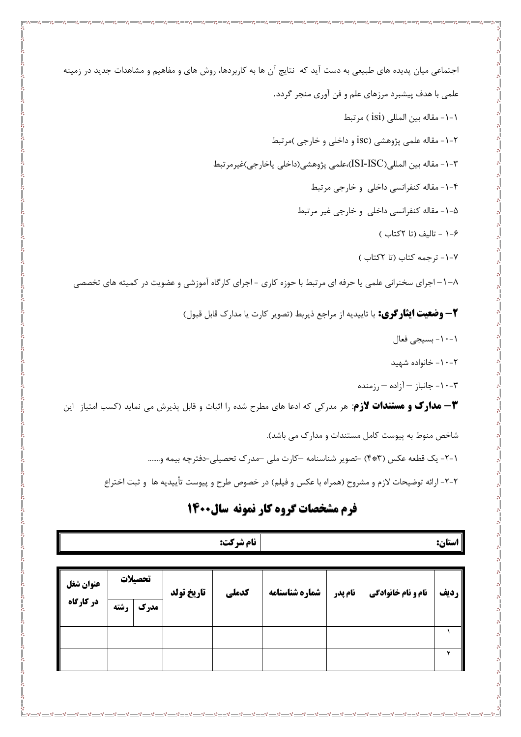اجتماعی میان پدیده های طبیعی به دست آید که نتایج آن ها به کاربردها، روش های و مفاهیم و مشاهدات جدید در زمینه علمی با هدف پیشبرد مرزهای علم و فن آوری منجر گردد. ١-١- مقاله بين المللي (isi ) مرتبط ۲-۱- مقاله علمي پژوهشي (isc و داخلي و خارجي )مرتبط ٣-١- مقاله بين المللي(ISI-ISC)،علمي پژوهشي(داخلي ياخارجي)غيرمرتبط ۴-۱- مقاله کنفرانسی داخلی و خارجی مرتبط ۰۵–۱– مقاله کنفرانسی داخلی و خارجی غیر مرتبط ۰-۶ - تاليف (تا ٢کتاب ) ٧-١- ترجمه كتاب (تا ٢كتاب) ۸–۱–اجرای سخنرانی علمی یا حرفه ای مرتبط با حوزه کاری - اجرای کارگاه آموزشی و عضویت در کمیته های تخصصی **٢ – وضعيت ايثار كري:** با تاييديه از مراجع ذيربط (تصوير كارت يا مدارك قابل قبول) ١-١٠- بسيجي فعال ۲-۱۰- خانواده شهید ۰-۳ - جانباز – آزاده – رزمنده **۳ - مدارک و مستندات لازم**: هر مدرکی که ادعا های مطرح شده را اثبات و قابل پذیرش می نماید (کسب امتیاز لین شاخص منوط به پیوست کامل مستندات و مدارک می باشد). ١-٢- يک قطعه عکس (٣\*٣) -تصوير شناسنامه –کارت ملي –مدرک تحصيلي-دفترچه بيمه و.......

٢-٢- ارائه توضيحات لازم و مشروح (همراه با عكس و فيلم) در خصوص طرح و پيوست تأييديه ها و ثبت اختراع

### فرم مشخصات گروه کار نمونه سال0000

|           |      |         |            | نام شركت: |                |         |                           | استان:      |
|-----------|------|---------|------------|-----------|----------------|---------|---------------------------|-------------|
| عنوان شغل |      | تحصيلات | تاريخ تولد | كدملي     | شماره شناسنامه | نام پدر | <b>نام و نام خانوادگی</b> | <b>رديف</b> |
| در کارگاه | رشته | مدرک    |            |           |                |         |                           |             |
|           |      |         |            |           |                |         |                           |             |
|           |      |         |            |           |                |         |                           | ۷           |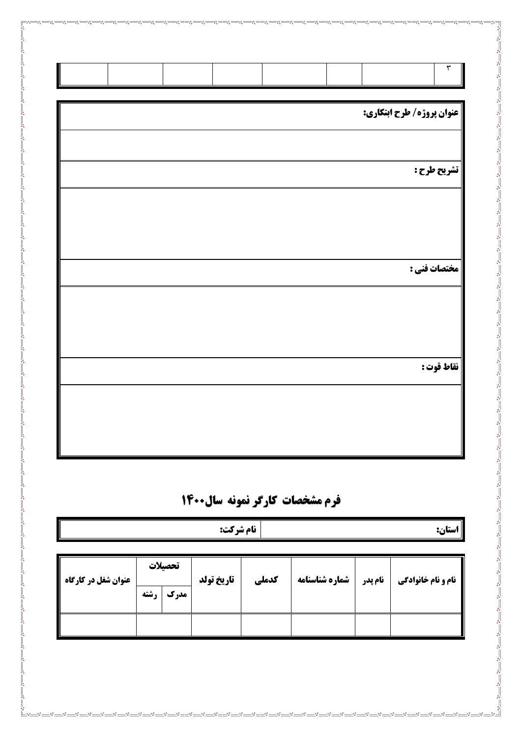|  |  |                                     | $\mathbf{\tilde{r}}$ |
|--|--|-------------------------------------|----------------------|
|  |  | <b>   عنوان پروژه/ طرح ابتکاری:</b> |                      |
|  |  |                                     |                      |
|  |  |                                     | تشريح طرح :          |
|  |  |                                     |                      |
|  |  |                                     |                      |
|  |  |                                     | مختصات فني :         |
|  |  |                                     |                      |
|  |  |                                     |                      |
|  |  |                                     | نقاط قوت :           |
|  |  |                                     |                      |
|  |  |                                     |                      |
|  |  |                                     |                      |

 $\sqrt{2}$ 

 $\frac{8}{10}$   $\frac{8}{10}$   $\frac{8}{10}$ 

 $\frac{1}{2}$ 

్లి - -ం<br>లో

 $\frac{8}{9}$   $\frac{8}{9}$ 

# فرم مشخصات کارگر نمونه سال1400

| نام شركت:                  |           |         |            |       |                |         | استان:                    |
|----------------------------|-----------|---------|------------|-------|----------------|---------|---------------------------|
|                            |           |         |            |       |                |         |                           |
|                            |           | تحصيلات |            |       |                |         |                           |
| <b>عنوان شغل در کارگاه</b> | ⊢ا رشته ا | مدرک    | تاريخ تولد | كدملي | شماره شناسنامه | نام پدر | <b>نام و نام خانوادگی</b> |
|                            |           |         |            |       |                |         |                           |
|                            |           |         |            |       |                |         |                           |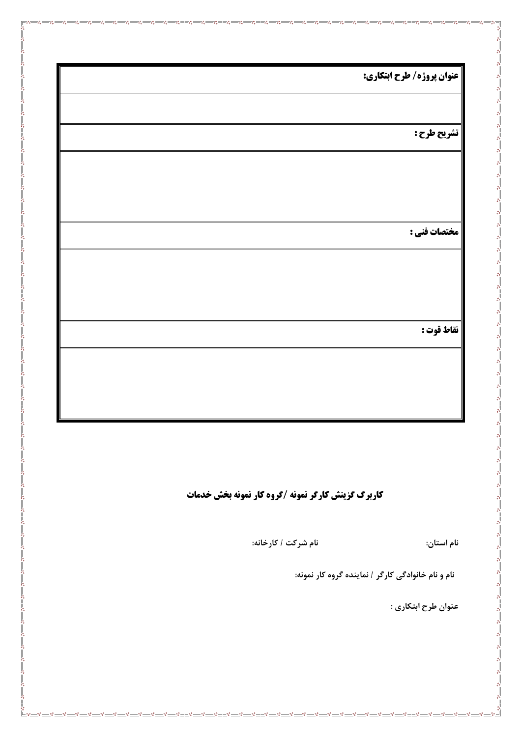| عنوان پروژه/ طرح ابتکاری: |  |
|---------------------------|--|
|                           |  |
| تشريح طرح :               |  |
|                           |  |
|                           |  |
| مختصات فني :              |  |
|                           |  |
|                           |  |
|                           |  |
| نقاط قوت :                |  |
|                           |  |
|                           |  |

 $\overline{\phantom{a}}\overline{\phantom{a}}\overline{\phantom{a}}$ 

 $\frac{1}{2}$  $\mathcal{S} =$  $-8 =$  $-s^2$  $-85$  $\frac{1}{2}$  $\mathcal{S}^{\mathcal{S}}$ 

౼ౣఄ

 $\frac{1}{2}$ 

 $-85$ 

 $\frac{1}{2}$  $\frac{1}{2}$ 

್ಲಿ

 $\frac{1}{2}$ 

 $-8e^{-}$ ್ಲಿ

 $\frac{1}{2}$ 

್ಲಿ

 $-$ % $-$ 

 $-8 =$  $\frac{1}{2}$  ್ಲಿ  $\mathbf{e}^{\bullet}_{\mathbf{e}}$ 

**کاربرگ گزینش کارگر نمونه /گروه کار نمونه بخش خدمات** 

 $\frac{1}{2}$ 

 **:%) / \$#? 2% :5 2%**

نام و نام خانوادگی کارگر / نماینده گروه کار نمونه:

عنوان طرح ابتکاری :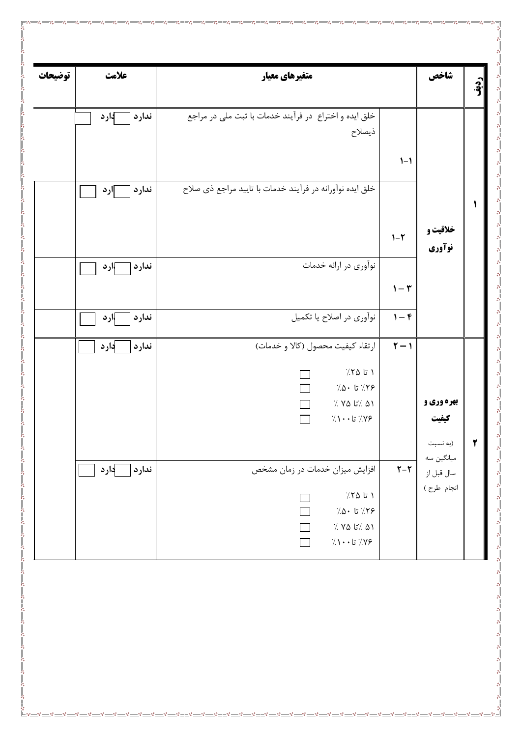| توضيحات | علامت           | متغیرهای معیار                                                                                       |                           | شاخص                                               |   |
|---------|-----------------|------------------------------------------------------------------------------------------------------|---------------------------|----------------------------------------------------|---|
|         | ندارد<br>آ∤ارد  | خلق ایده و اختراع در فرآیند خدمات با ثبت ملی در مراجع<br>ذيصلاح                                      |                           |                                                    |   |
|         |                 |                                                                                                      | $1 - 1$                   |                                                    |   |
|         | ندارد<br>∏رد    | خلق ایده نوآورانه در فرآیند خدمات با تایید مراجع ذی صلاح                                             |                           |                                                    |   |
|         |                 |                                                                                                      | $1-\tau$                  | خلاقیت و<br>نوآوري                                 |   |
|         | ندارد<br>—  ارد | نوآوري در ارائه خدمات                                                                                | $\mathcal{V}-\mathcal{V}$ |                                                    |   |
|         | ندارد<br>√ارد   | نوأوري در اصلاح يا تكميل                                                                             | $1 - F$                   |                                                    |   |
|         | دار د<br>ندارد  | ارتقاء كيفيت محصول (كالا و خدمات)                                                                    | $\Upsilon - \Upsilon$     |                                                    |   |
|         |                 | $7.70$ تا ۲۵<br>$7.0 \cdot 7.79$<br>$\gamma$ ۷۵ / تا ۷۵ /<br>$\gamma \rightarrow +$ تا $\gamma$ ۰۰ ( |                           | بهره وري و<br>كيفيت                                |   |
|         | }ارد<br>ندارد   | افزایش میزان خدمات در زمان مشخص<br>$7.70$ تا ۱                                                       | $Y - Y$                   | (به نسبت<br>میانگین سه<br>سال قبل از<br>انجام طرح) | ۲ |
|         |                 | $7.0 \cdot 7.79$<br>$\%$ ۵۱ / تا ۷۵ /<br>$\gamma \wedge \cdot \cdot$ تا $\gamma \wedge \cdot$        |                           |                                                    |   |
|         |                 |                                                                                                      |                           |                                                    |   |
|         |                 |                                                                                                      |                           |                                                    |   |
|         |                 |                                                                                                      |                           |                                                    |   |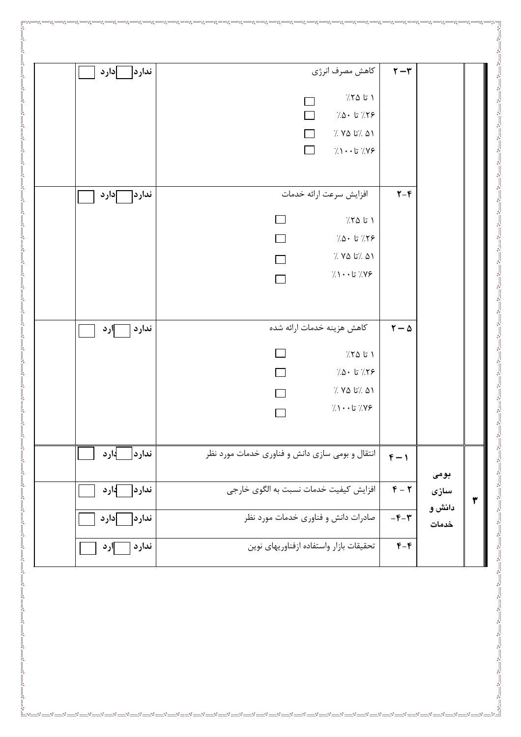|                   | $\mathbf{r}-\mathbf{r}$      | كاهش مصرف انرژى                                                | ندارد <br> دارد  |
|-------------------|------------------------------|----------------------------------------------------------------|------------------|
|                   |                              | ۱ تا ۲۵٪                                                       |                  |
|                   |                              | $7.0 \cdot 17.79$<br>$\Box$                                    |                  |
|                   |                              | $\gamma'$ / ما / تا (۲۵ /<br>$\Box$                            |                  |
|                   |                              | $\Box$<br>$\gamma\gamma\cdot\cdot$ تا $\gamma\gamma\gamma$     |                  |
|                   | $Y - F$                      | افزايش سرعت ارائه خدمات                                        | ندارد <br>∣دارد  |
|                   |                              | $7.70$ تا ۲۵                                                   |                  |
|                   |                              | $7.0 \cdot 17.7$ تا ۵۰                                         |                  |
|                   |                              | $\%$ ۷۵ %<br>$\%$ ۸۱                                           |                  |
|                   |                              | $\gamma \wedge \cdot \cdot$ تا $\gamma \wedge \cdot$<br>$\Box$ |                  |
|                   | $\tau - \Delta$              | كاهش هزينه خدمات ارائه شده                                     | ندارد<br>∣ارد    |
|                   |                              | ۱ تا ۲۵٪                                                       |                  |
|                   |                              | $7.0 \cdot 17.7$ تا ۵۰                                         |                  |
|                   |                              | $\gamma'$ / ما / تا $\gamma'$ . /                              |                  |
|                   |                              | $\gamma \wedge \cdot \cdot$ تا $\gamma \wedge \cdot$           |                  |
|                   | $f - 1$                      | انتقال و بومی سازی دانش و فناوری خدمات مورد نظر                | ندار د <br>_اارد |
| بومى<br>سازی<br>٣ | $F - T$                      | افزایش کیفیت خدمات نسبت به الگوی خارجی                         | ∫ارد<br>ندار د   |
| دانش و<br>خدمات   | $-\mathfrak{F}-\mathfrak{r}$ | صادرات دانش و فناوری خدمات مورد نظر                            | ندارد <br> دار د |
|                   | $F-F$                        | تحقيقات بازار واستفاده ازفناوريهاى نوين                        | ندارد<br>∣ارد    |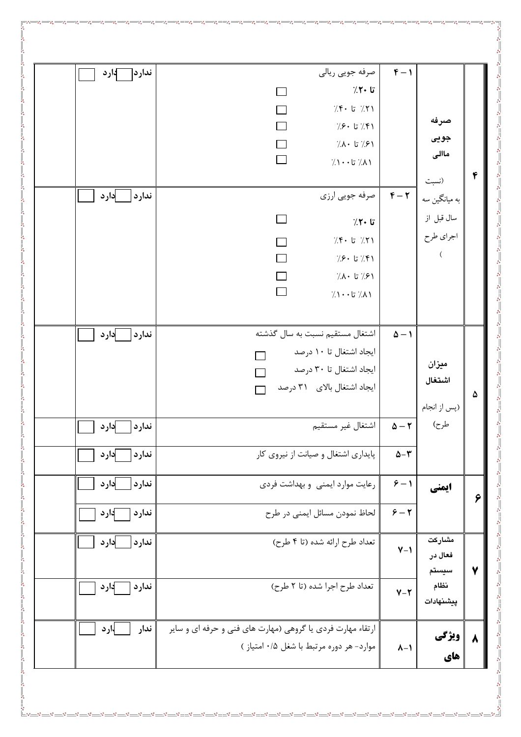| صرفه<br>جويى<br>ماالی<br>۴                        | $F - 1$                              | صرفه جويي ريالي<br>تا ۲۰٪<br>$7.5 - 17.7$ تا ۴۰<br>$7.8 \cdot 7.8$ تا ۶۰ $($<br>٬۶۱/ تا ۸۰⁄۰/<br>$7.1 \cdot 17.1$ تا $7.1$  | ندار د[<br>∏ارد                    |
|---------------------------------------------------|--------------------------------------|-----------------------------------------------------------------------------------------------------------------------------|------------------------------------|
| (نسبت<br>به میانگین سه<br>سال قبل از<br>اجراي طرح | $F - T$                              | صرفه جويي ارزي<br>تا ۲۰٪<br>$7.5 - 7.7$ تا ۶۰<br>$\Box$<br>$7.8.1$ تا ۶۰ $($<br>٬۶۱/ تا ۸۰⁄۰/<br>$\lambda$ / تا $\lambda$ / | ندارد <br> دار د                   |
| ميزان<br>اشتغال<br>۵<br>(پس از انجام              | $\Delta - 1$                         | اشتغال مستقیم نسبت به سال گذشته<br>ایجاد اشتغال تا ۱۰ درصد<br>ایجاد اشتغال تا ۳۰ درصد<br>ایجاد اشتغال بالای ۳۱ درصد         | دار د<br>ندارد                     |
| طرح)                                              | $\Delta - \tau$<br>$\Delta-\Upsilon$ | اشتغال غير مستقيم<br>پایداری اشتغال و صیانت از نیروی کار                                                                    | ادار د<br>ندارد<br>ادار د<br>ندارد |
| ايمني<br>٦                                        | $9 - 1$<br>$9 - 7$                   | رعایت موارد ایمنی و بهداشت فردی<br>لحاظ نمودن مسائل ايمنى در طرح                                                            | ادار د<br>ندارد<br>دارد<br>ندارد   |
| مشاركت<br>فعال در<br>$\mathbf v$<br>سيستم         | $Y - Y$                              | تعداد طرح ارائه شده (تا ۴ طرح)                                                                                              | دار د<br>ندارد                     |
| نظام<br>پيشنهادات                                 | $Y - Y$                              | تعداد طرح اجرا شده (تا ٢ طرح)                                                                                               | ندارد<br>دارد                      |
| ويژگى<br>$\lambda$<br>های                         | $\lambda - 1$                        | ارتقاء مهارت فردی یا گروهی (مهارت های فنی و حرفه ای و سایر<br>موارد- هر دوره مرتبط با شغل ۰/۵ امتیاز )                      | ندار<br>1.رد                       |

 $\sim -\infty$ 

៓៓៓៓៓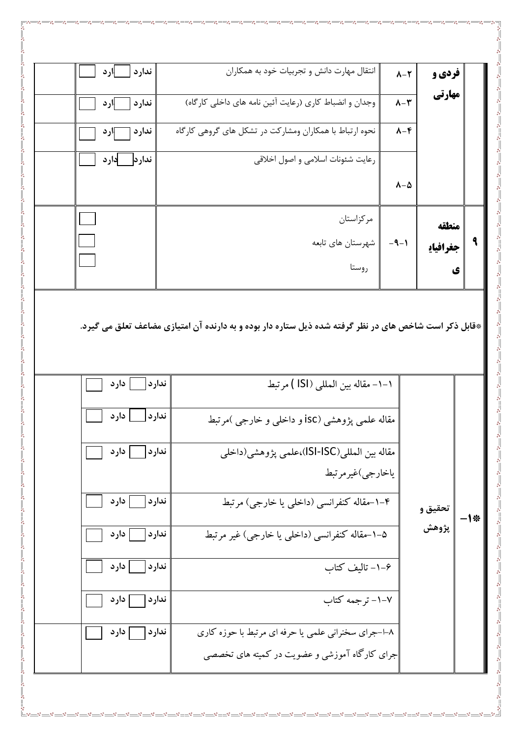|              | فردي و   | $\lambda-\Upsilon$     | انتقال مهارت دانش و تجربیات خود به همکاران              | ندارد<br>ارد - |  |
|--------------|----------|------------------------|---------------------------------------------------------|----------------|--|
|              | مهارتي   | $\lambda-\tau$         | وجدان و انضباط كاري (رعايت آئين نامه هاي داخلي كارگاه)  | ندارد<br>ارد   |  |
|              |          | $\lambda-\mathfrak{F}$ | نحوه ارتباط با همکاران ومشارکت در تشکل های گروهی کارگاه | ندارد<br>اارد  |  |
|              |          |                        | رعايت شئونات اسلامي و اصول اخلاقي                       | دارد<br>ندارد  |  |
|              |          | $\lambda-\Delta$       |                                                         |                |  |
|              | منطقه    |                        | مركزاستان                                               |                |  |
| $\mathbf{R}$ | جغرافياي | $-9-1$                 | شهرستان های تابعه                                       |                |  |
|              | ی        |                        | روستا                                                   |                |  |
|              |          |                        |                                                         |                |  |

|<br>| \*قابل ذکر است شاخص های در نظر گرفته شده ذیل ستاره دار بوده و به دارنده آن امتیازی مضاعف تعلق می گیرد.

| دارد<br>١-١- مقاله بين المللي (ISI ) مرتبط<br>ندارد<br>دار د<br>ندارد<br>مقاله علمی پژوهشی (isc و داخلبی و خارجی )مرتبط<br>مقاله بين المللي(ISI-ISC)،علمي پژوهشي(داخلي<br>ندارد <br>  دارد<br>ياخارجي)غيرمرتبط<br>  دارد<br>۴–۱–مقاله کنفرانسی (داخلبی یا خارجی) مرتبط<br>ندارد <br>تحقيق و |  |  |  |
|---------------------------------------------------------------------------------------------------------------------------------------------------------------------------------------------------------------------------------------------------------------------------------------------|--|--|--|
|                                                                                                                                                                                                                                                                                             |  |  |  |
|                                                                                                                                                                                                                                                                                             |  |  |  |
|                                                                                                                                                                                                                                                                                             |  |  |  |
|                                                                                                                                                                                                                                                                                             |  |  |  |
|                                                                                                                                                                                                                                                                                             |  |  |  |
| پژوهش<br>۵–۱–مقاله کنفرانسی (داخلبی یا خارجی) غیر مرتبط<br>  دارد<br>ندارد                                                                                                                                                                                                                  |  |  |  |
| ۰–۱– تالیف کتاب<br>دار د<br>ندارد                                                                                                                                                                                                                                                           |  |  |  |
| ۰۱–۲ ترجمه کتاب<br>ندارد<br>دار د                                                                                                                                                                                                                                                           |  |  |  |
| ندارد<br>۸–ا–جرای سخنرانی علمی یا حرفه ای مرتبط با حوزه کاری<br>  دار د                                                                                                                                                                                                                     |  |  |  |
| جرای کارگاه آموزشی و عضویت در کمیته های تخصصی                                                                                                                                                                                                                                               |  |  |  |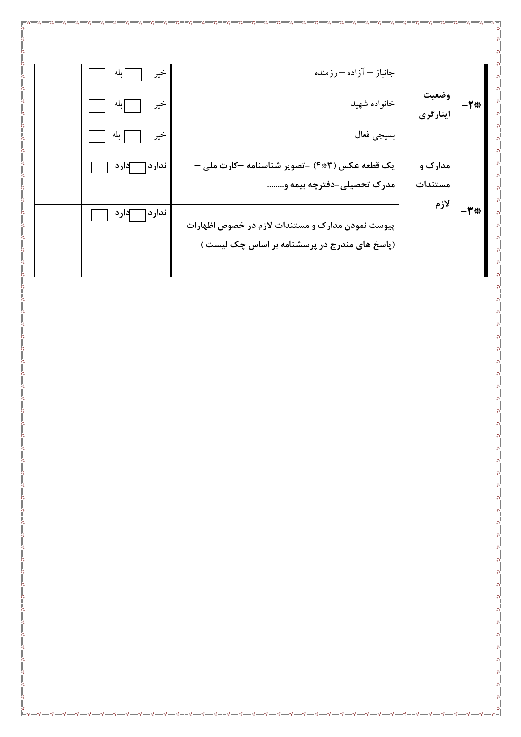|                                                                                  | خير<br> بله        | جانباز — آزاده —رزمنده                           |                          |                 |
|----------------------------------------------------------------------------------|--------------------|--------------------------------------------------|--------------------------|-----------------|
|                                                                                  | خير<br> بله        | خانواده شهيد                                     | وضعیت<br> <br>  ایثارگری | $-1$ *          |
|                                                                                  | خير<br>  بله       | بسيجي فعال                                       |                          |                 |
| ್ನಿ<br>ஃ                                                                         | ندار د <br>آدار د  | یک قطعه عکس (۴*۴) -تصویر شناسنامه کارت ملی –     | مدارک و                  |                 |
| ஃ<br>್ನಿ                                                                         |                    | مدرک تحصیلی-دفترچه بیمه و                        | مستندات<br>لازم          |                 |
| နိ                                                                               | ندار د [<br>آدار د | پیوست نمودن مدارک و مستندات لازم در خصوص اظهارات |                          | $-\mathbf{r}$ * |
|                                                                                  |                    | (پاسخ های مندرج در پرسشنامه بر اساس چک لیست )    |                          |                 |
|                                                                                  |                    |                                                  |                          |                 |
|                                                                                  |                    |                                                  |                          |                 |
|                                                                                  |                    |                                                  |                          |                 |
|                                                                                  |                    |                                                  |                          |                 |
| $^{\circ}$                                                                       |                    |                                                  |                          |                 |
| ပိုင<br>$o^0_0$<br>$\mathfrak{o}^0_{\mathfrak{0}}$                               |                    |                                                  |                          |                 |
| $^{\circ}_{\circ}$<br>$^{\circ}$                                                 |                    |                                                  |                          |                 |
| ೲ<br>$^{\circ}$<br>$\mathbf{e_{0}^{0}}$                                          |                    |                                                  |                          |                 |
| ೲ<br>$\mathfrak{o}^0_{\mathfrak{o}}$<br>Ш                                        |                    |                                                  |                          |                 |
| $^{\circ}_{\circ}$<br>್ಠೆ<br>$\mathbf{e}_{\mathbf{e}}^{\mathbf{e}}$              |                    |                                                  |                          |                 |
| $\mathbf{o}^{\mathbf{0}}_{\mathbf{o}}$<br>$\mathbf{e}_{\mathbf{e}}^{\mathbf{e}}$ |                    |                                                  |                          |                 |
| $^{\circ}_{\circ}$<br>ೲ<br>$\mathfrak{o}^0_{\mathfrak{S}}$                       |                    |                                                  |                          |                 |
| oo<br>oo                                                                         |                    |                                                  |                          |                 |
| $o^0_0$<br>$^{\circ}_{\circ}$                                                    |                    |                                                  |                          |                 |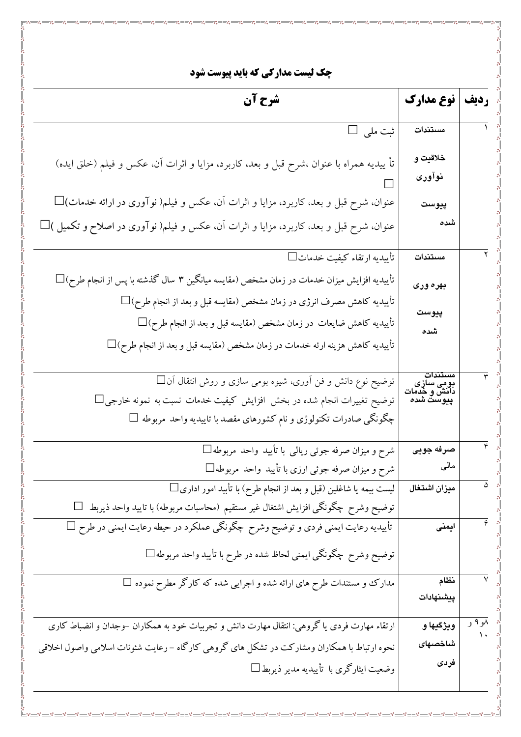**چک لیست مدارکی که باید پیوست شود** ردیف | نوع مدارک شرح آن ثبت ملی □ مستندات خلاقيت و تأ ییدیه همراه با عنوان ،شرح قبل و بعد، کاربرد، مزایا و اثرات آن، عکس و فیلم (خلق ایده) نوآوري عنوان، شرح قبل و بعد، کاربرد، مزایا و اثرات آن، عکس و فیلم( نوآوری در ارائه خدمات) $\Box$ پيوست عنوان، شرح قبل و بعد، کاربرد، مزایا و اثرات آن، عکس و فیلم( نوآوری در اصلاح و تکمیل ) $\Box$ شده  $\Box$ تأسدیه ارتقاء کیفیت خدمات مستندات تأییدیه افزایش میزان خدمات در زمان مشخص (مقایسه میانگین ۳ سال گذشته با پس از انجام طرح) $\Box$ بهره وري تأييديه كاهش مصرف انرژى در زمان مشخص (مقايسه قبل و بعد از انجام طرح) $\Box$ پيوست تأييديه كاهش ضايعات در زمان مشخص (مقايسه قبل و بعد از انجام طرح) $\Box$ شده تأييديه كاهش هزينه ارئه خدمات در زمان مشخص (مقايسه قبل و بعد از انجام طرح) $\Box$ توضیح نوع دانش و فن آوری، شیوه بومی سازی و روش انتقال آن $\Box$ بومی سازی<br>دانش و خدمات<br>پیوست شده توضیح تغییرات انجام شده در بخش افزایش کیفیت خدمات نسبت به نمونه خارجی چگونگی صادرات تکنولوژی و نام کشورهای مقصد با تاییدیه واحد مربوطه  $\Box$ شرح و میزان صرفه جوئی ریالی با تأیید واحد مربوطه□ صرفه جويى شرح و میزان صرفه جوئی ارزی با تأیید واحد مربوطه $\Box$ مالي لیست بیمه یا شاغلین (قبل و بعد از انجام طرح) با تأبید امور اداری □ میزان اشتغال توضیح وشرح چگونگی افزایش اشتغال غیر مستقیم (محاسبات مربوطه) با تایید واحد ذیربط  $\Box$ تأییدیه رعایت ایمنی فردی و توضیح وشرح چگونگی عملکرد در حیطه رعایت ایمنی در طرح □ ايمنى توضیح وشرح چگونگی ایمنی لحاظ شده در طرح با تأیید واحد مربوطه □ مدارک و مستندات طرح های ارائه شده و اجرایی شده که کارگر مطرح نموده □ نظام ييشنهادات ارتقاء مهارت فردی یا گروهی: انتقال مهارت دانش و تجربیات خود به همکاران –وجدان و انضباط کاری و ۹ و ويژگيها و نحوه ارتباط با همکاران ومشارکت در تشکل های گروهی کارگاه –رعایت شئونات اسلامی واصول اخلاقی شاخصهاى فردى وضعیت ایثارگری با تأییدیه مدیر ذیربط∏